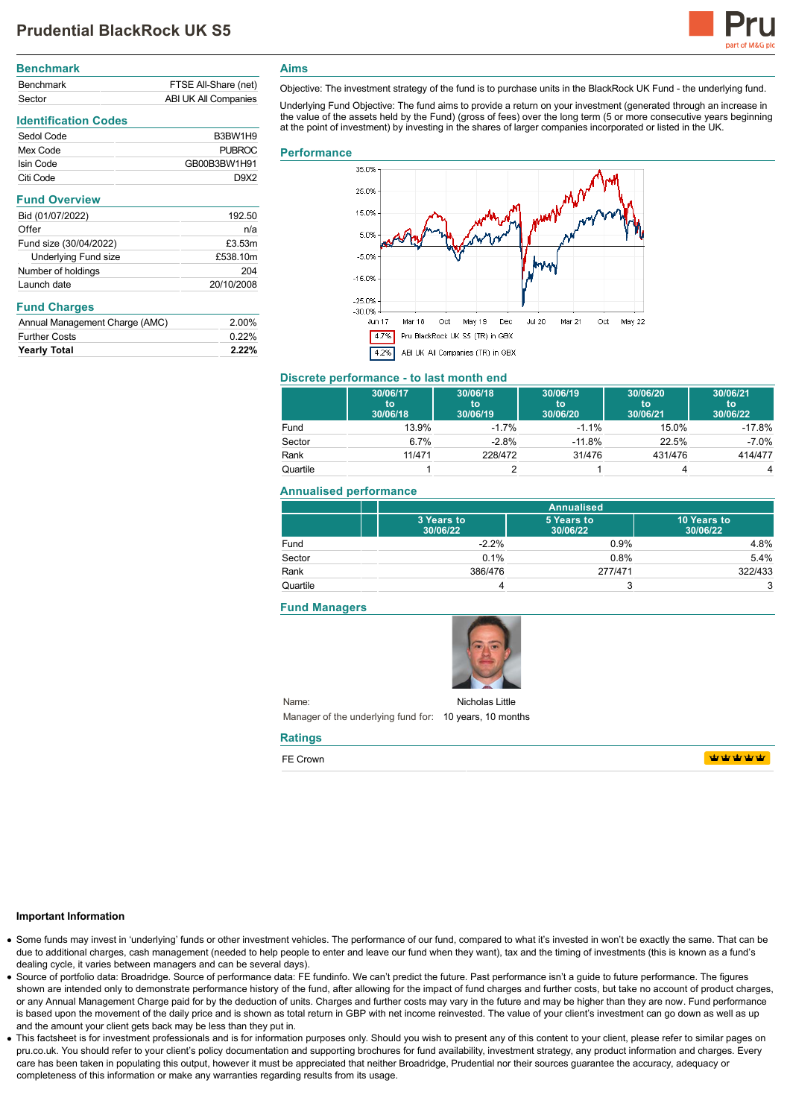# **Prudential BlackRock UK S5**



| <b>Benchmark</b> |                      |
|------------------|----------------------|
| <b>Benchmark</b> | FTSE All-Share (net) |
| Sector           | ABI UK All Companies |

## **Identification Codes**

| B3BW1H9          |
|------------------|
| PURROC           |
| GB00B3BW1H91     |
| D9X <sub>2</sub> |
|                  |

| <b>Fund Overview</b>   |            |
|------------------------|------------|
| Bid (01/07/2022)       | 192.50     |
| Offer                  | n/a        |
| Fund size (30/04/2022) | £3.53m     |
| Underlying Fund size   | £538.10m   |
| Number of holdings     | 204        |
| Launch date            | 20/10/2008 |
|                        |            |

## **Fund Charges**

| Annual Management Charge (AMC) | 2.00%    |
|--------------------------------|----------|
| <b>Further Costs</b>           | 0.22%    |
| <b>Yearly Total</b>            | $2.22\%$ |

**Aims**

Objective: The investment strategy of the fund is to purchase units in the BlackRock UK Fund - the underlying fund.

Underlying Fund Objective: The fund aims to provide a return on your investment (generated through an increase in the value of the assets held by the Fund) (gross of fees) over the long term (5 or more consecutive years beginning at the point of investment) by investing in the shares of larger companies incorporated or listed in the UK.

#### **Performance**



## **Discrete performance - to last month end**

|          | 30/06/17<br>to<br>30/06/18 | 30/06/18<br>to<br>30/06/19 | 30/06/19<br>to<br>30/06/20 | 30/06/20<br>to<br>30/06/21 | 30/06/21<br>to<br>30/06/22 |
|----------|----------------------------|----------------------------|----------------------------|----------------------------|----------------------------|
| Fund     | 13.9%                      | $-1.7%$                    | $-1.1%$                    | 15.0%                      | $-17.8%$                   |
| Sector   | 6.7%                       | $-2.8%$                    | $-11.8%$                   | 22.5%                      | $-7.0%$                    |
| Rank     | 11/471                     | 228/472                    | 31/476                     | 431/476                    | 414/477                    |
| Quartile |                            |                            |                            |                            | 4                          |

#### **Annualised performance**

|          |                        | <b>Annualised</b>      |                         |  |
|----------|------------------------|------------------------|-------------------------|--|
|          | 3 Years to<br>30/06/22 | 5 Years to<br>30/06/22 | 10 Years to<br>30/06/22 |  |
| Fund     | $-2.2%$                | 0.9%                   | 4.8%                    |  |
| Sector   | 0.1%                   | 0.8%                   | 5.4%                    |  |
| Rank     | 386/476                | 277/471                | 322/433                 |  |
| Quartile |                        | w                      | 3                       |  |

#### **Fund Managers**



Name: Manager of the underlying fund for: 10 years, 10 months Nicholas Little

#### **Ratings**

FE Crown

**WWWWW** 

#### **Important Information**

- Some funds may invest in 'underlying' funds or other investment vehicles. The performance of our fund, compared to what it's invested in won't be exactly the same. That can be due to additional charges, cash management (needed to help people to enter and leave our fund when they want), tax and the timing of investments (this is known as a fund's dealing cycle, it varies between managers and can be several days).
- Source of portfolio data: Broadridge. Source of performance data: FE fundinfo. We can't predict the future. Past performance isn't a guide to future performance. The figures shown are intended only to demonstrate performance history of the fund, after allowing for the impact of fund charges and further costs, but take no account of product charges, or any Annual Management Charge paid for by the deduction of units. Charges and further costs may vary in the future and may be higher than they are now. Fund performance is based upon the movement of the daily price and is shown as total return in GBP with net income reinvested. The value of your client's investment can go down as well as up and the amount your client gets back may be less than they put in.
- This factsheet is for investment professionals and is for information purposes only. Should you wish to present any of this content to your client, please refer to similar pages on pru.co.uk. You should refer to your client's policy documentation and supporting brochures for fund availability, investment strategy, any product information and charges. Every care has been taken in populating this output, however it must be appreciated that neither Broadridge. Prudential nor their sources guarantee the accuracy, adequacy or completeness of this information or make any warranties regarding results from its usage.